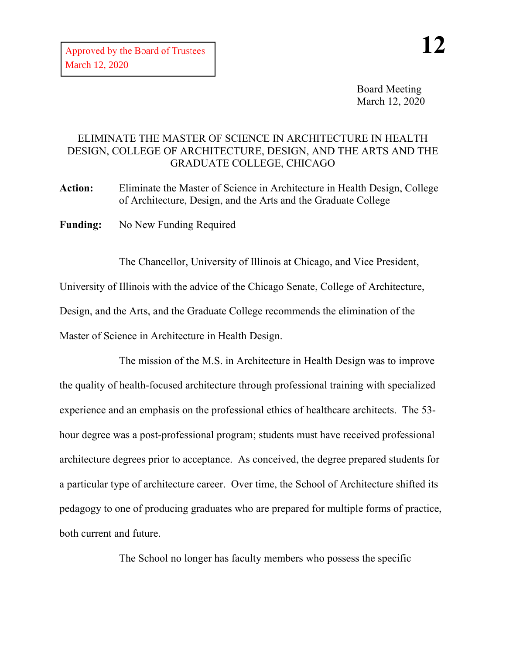Board Meeting March 12, 2020

## ELIMINATE THE MASTER OF SCIENCE IN ARCHITECTURE IN HEALTH DESIGN, COLLEGE OF ARCHITECTURE, DESIGN, AND THE ARTS AND THE GRADUATE COLLEGE, CHICAGO

**Action:** Eliminate the Master of Science in Architecture in Health Design, College of Architecture, Design, and the Arts and the Graduate College

**Funding:** No New Funding Required

The Chancellor, University of Illinois at Chicago, and Vice President,

University of Illinois with the advice of the Chicago Senate, College of Architecture,

Design, and the Arts, and the Graduate College recommends the elimination of the

Master of Science in Architecture in Health Design.

The mission of the M.S. in Architecture in Health Design was to improve the quality of health-focused architecture through professional training with specialized experience and an emphasis on the professional ethics of healthcare architects. The 53 hour degree was a post-professional program; students must have received professional architecture degrees prior to acceptance. As conceived, the degree prepared students for a particular type of architecture career. Over time, the School of Architecture shifted its pedagogy to one of producing graduates who are prepared for multiple forms of practice, both current and future.

The School no longer has faculty members who possess the specific